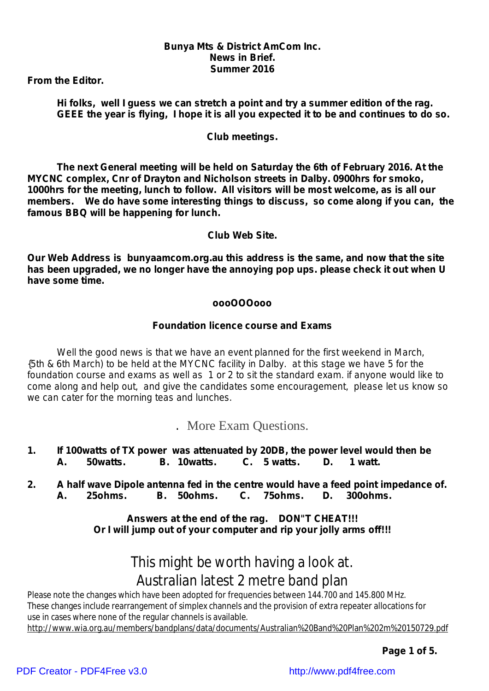## *Bunya Mts & District AmCom Inc. News in Brief. Summer 2016*

*From the Editor.*

*Hi folks, well I guess we can stretch a point and try a summer edition of the rag.* GEEE the vear is flying. I hope it is all you expected it to be and continues to do so.

## *Club meetings.*

*The next General meeting will be held on Saturday the 6th of February 2016. At the MYCNC complex, Cnr of Drayton and Nicholson streets in Dalby. 0900hrs for smoko, 1000hrs for the meeting, lunch to follow. All visitors will be most welcome, as is all our members. We do have some interesting things to discuss, so come along if you can, the famous BBQ will be happening for lunch.*

*Club Web Site.*

*Our Web Address is bunyaamcom.org.au this address is the same, and now that the site has been upgraded, we no longer have the annoying pop ups. please check it out when U have some time.*

### *oooOOOooo*

## *Foundation licence course and Exams*

*Well the good news is that we have an event planned for the first weekend in March,* {5th & 6th March) to be held at the MYCNC facility in Dalby. at this stage we have 5 for the foundation course and exams as well as 1 or 2 to sit the standard exam. if anyone would like to *come along and help out, and give the candidates some encouragement, please let us know so we can cater for the morning teas and lunches.*

*.* More Exam Questions.

- *1. If 100watts of TX power was attenuated by 20DB, the power level would then be A. 50watts. B. 10watts. C. 5 watts. D. 1 watt.*
- *2. A half wave Dipole antenna fed in the centre would have a feed point impedance of. A. 25ohms. B. 50ohms. C. 75ohms. D. 300ohms.*

*Answers at the end of the rag. DON"T CHEAT!!! Or I will jump out of your computer and rip your jolly arms off!!!*

## This might be worth having a look at. Australian latest 2 metre band plan

Please note the changes which have been adopted for frequencies between 144.700 and 145.800 MHz. These changes include rearrangement of simplex channels and the provision of extra repeater allocations for use in cases where none of the regular channels is available.

<http://www.wia.org.au/members/bandplans/data/documents/Australian%20Band%20Plan%202m%20150729.pdf>

*Page 1 of 5.*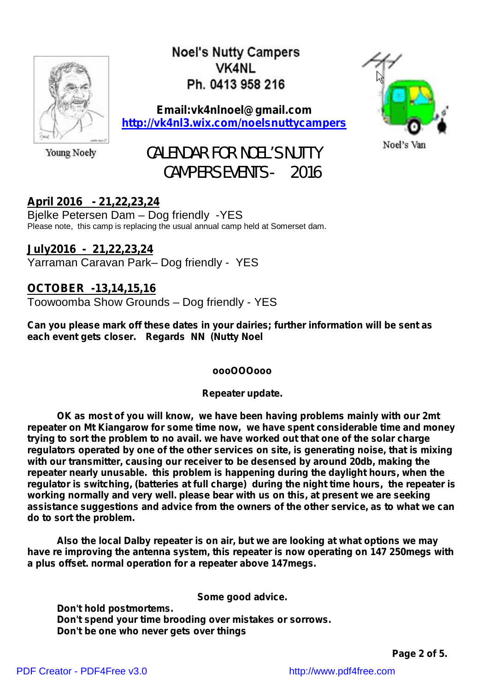

**Noel's Nutty Campers VK4NI** Ph. 0413 958 216

**Email:vk4nlnoel@gmail.com <http://vk4nl3.wix.com/noelsnuttycampers>**



Young Noely

# CALENDAR FOR NOEL'S NUTTY CAMPERS EVENTS - 2016

## **April 2016 - 21,22,23,24**

Bjelke Petersen Dam – Dog friendly -YES Please note, this camp is replacing the usual annual camp held at Somerset dam.

## **July2016 - 21,22,23,24** Yarraman Caravan Park– Dog friendly - YES

## **OCTOBER -13,14,15,16**

Toowoomba Show Grounds – Dog friendly - YES

**Can you please mark off these dates in your dairies; further information will be sent as each event gets closer. Regards NN (Nutty Noel**

## *oooOOOooo*

*Repeater update.*

*OK as most of you will know, we have been having problems mainly with our 2mt repeater on Mt Kiangarow for some time now, we have spent considerable time and money trying to sort the problem to no avail. we have worked out that one of the solar charge regulators operated by one of the other services on site, is generating noise, that is mixing with our transmitter, causing our receiver to be desensed by around 20db, making the repeater nearly unusable. this problem is happening during the daylight hours, when the regulator is switching, (batteries at full charge) during the night time hours, the repeater is working normally and very well. please bear with us on this, at present we are seeking assistance suggestions and advice from the owners of the other service, as to what we can do to sort the problem.*

*Also the local Dalby repeater is on air, but we are looking at what options we may have re improving the antenna system, this repeater is now operating on 147 250megs with a plus offset. normal operation for a repeater above 147megs.*

**Some good advice.**

**Don't hold postmortems. Don't spend your time brooding over mistakes or sorrows. Don't be one who never gets over things**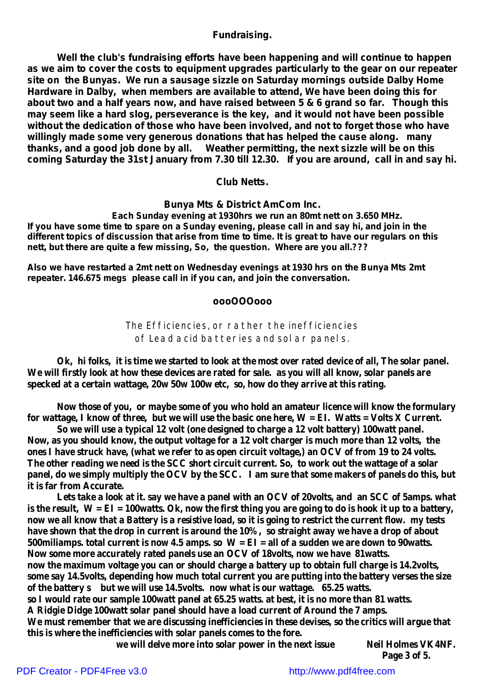## **Fundraising.**

**Well the club's fundraising efforts have been happening and will continue to happen as we aim to cover the costs to equipment upgrades particularly to the gear on our repeater site on the Bunyas. We run a sausage sizzle on Saturday mornings outside Dalby Home Hardware in Dalby, when members are available to attend, We have been doing this for about two and a half years now, and have raised between 5 & 6 grand so far. Though this may seem like a hard slog, perseverance is the key, and it would not have been possible without the dedication of those who have been involved, and not to forget those who have willingly made some very generous donations that has helped the cause along. many thanks, and a good job done by all. Weather permitting, the next sizzle will be on this coming Saturday the 31st January from 7.30 till 12.30. If you are around, call in and say hi.**

#### **Club Netts.**

**Bunya Mts & District AmCom Inc.**

*Each Sunday evening at 1930hrs we run an 80mt nett on 3.650 MHz.* If you have some time to spare on a Sunday evening, please call in and say hi, and join in the different topics of discussion that arise from time to time. It is great to have our regulars on this *nett, but there are quite a few missing, So, the question. Where are you all.???*

*Also we have restarted a 2mt nett on Wednesday evenings at 1930 hrs on the Bunya Mts 2mt repeater. 146.675 megs please call in if you can, and join the conversation.*

#### *oooOOOooo*

The Efficiencies, or rather the inefficiencies of Lead acid batteries and solar panels.

Ok, hi folks, it is time we started to look at the most over rated device of all, The solar panel. We will firstly look at how these devices are rated for sale. as you will all know, solar panels are **specked at a certain wattage, 20w 50w 100w etc, so, how do they arrive at this rating.**

**Now those of you, or maybe some of you who hold an amateur licence will know the formulary** for wattage, I know of three, but we will use the basic one here,  $W = EI$ . Watts = Volts X Current.

**So we will use a typical 12 volt (one designed to charge a 12 volt battery) 100watt panel.** Now, as you should know, the output voltage for a 12 volt charger is much more than 12 volts, the ones I have struck have, (what we refer to as open circuit voltage,) an OCV of from 19 to 24 volts. The other reading we need is the SCC short circuit current. So, to work out the wattage of a solar panel, do we simply multiply the OCV by the SCC. I am sure that some makers of panels do this, but **it is far from Accurate.**

Lets take a look at it. say we have a panel with an OCV of 20 volts, and an SCC of 5 amps. what is the result,  $W = EI = 100watts$ . Ok, now the first thing you are going to do is hook it up to a battery, now we all know that a Battery is a resistive load, so it is going to restrict the current flow. my tests have shown that the drop in current is around the 10%, so straight away we have a drop of about 500 miliamps. total current is now 4.5 amps. so  $W = EI = all$  of a sudden we are down to 90 watts. **Now some more accurately rated panels use an OCV of 18volts, now we have 81watts. now the maximum voltage you can or should charge a battery up to obtain full charge is 14.2volts, some say 14.5volts, depending how much total current you are putting into the battery verses the size of the battery s but we will use 14.5volts. now what is our wattage. 65.25 watts.** so I would rate our sample 100 watt panel at 65.25 watts, at best, it is no more than 81 watts. **A Ridgie Didge 100watt solar panel should have a load current of Around the 7 amps. We must remember that we are discussing inefficiencies in these devises, so the critics will argue that this is where the inefficiencies with solar panels comes to the fore. we will delve more into solar power in the next issue Neil Holmes VK4NF.**

**Page 3 of 5.**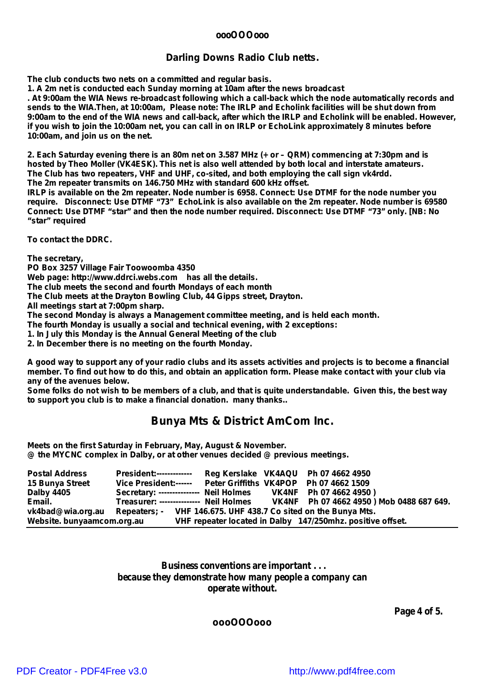#### **oooOOOooo**

#### *Darling Downs Radio Club netts.*

**The club conducts two nets on a committed and regular basis.**

**1. A 2m net is conducted each Sunday morning at 10am after the news broadcast**

. At 9:00am the WIA News re-broadcast following which a call-back which the node automatically records and sends to the WIA. Then, at 10:00am, Please note: The IRLP and Echolink facilities will be shut down from 9:00am to the end of the WIA news and call-back, after which the IRLP and Echolink will be enabled. However, if you wish to join the 10:00am net, you can call in on IRLP or EchoLink approximately 8 minutes before **10:00am, and join us on the net.**

2. Each Saturday evening there is an 80m net on 3.587 MHz (+ or - QRM) commencing at 7:30pm and is **hosted by Theo Moller (VK4ESK). This net is also well attended by both local and interstate amateurs. The Club has two repeaters, VHF and UHF, co-sited, and both employing the call sign vk4rdd. The 2m repeater transmits on 146.750 MHz with standard 600 kHz offset.**

IRLP is available on the 2m repeater. Node number is 6958. Connect: Use DTMF for the node number you **require. Disconnect: Use DTMF "73" EchoLink is also available on the 2m repeater. Node number is 69580 Connect: Use DTMF "star" and then the node number required. Disconnect: Use DTMF "73" only. [NB: No "star" required**

**To contact the DDRC.**

**The secretary,**

**PO Box 3257 Village Fair Toowoomba 4350 Web page: [http://www.ddrci.webs.com](http://www.ddrci.webs.comhas) has all the details. The club meets the second and fourth Mondays of each month The Club meets at the Drayton Bowling Club, 44 Gipps street, Drayton. All meetings start at 7:00pm sharp. The second Monday is always a Management committee meeting, and is held each month. The fourth Monday is usually a social and technical evening, with 2 exceptions: 1. In July this Monday is the Annual General Meeting of the club**

**2. In December there is no meeting on the fourth Monday.**

A good way to support any of your radio clubs and its assets activities and projects is to become a financial member. To find out how to do this, and obtain an application form. Please make contact with your club via *any of the avenues below.*

Some folks do not wish to be members of a club, and that is quite understandable. Given this, the best way *to support you club is to make a financial donation. many thanks..*

## **Bunya Mts & District AmCom Inc.**

**Meets on the first Saturday in February, May, August & November. @ the MYCNC complex in Dalby, or at other venues decided @ previous meetings.**

| <b>Postal Address</b>                                                            | <b>President:-------------</b>                                                  |  | Reg Kerslake VK4AQU Ph 07 4662 4950                        |  |
|----------------------------------------------------------------------------------|---------------------------------------------------------------------------------|--|------------------------------------------------------------|--|
| 15 Bunya Street                                                                  | Vice President:------ Peter Griffiths VK4POP Ph 07 4662 1509                    |  |                                                            |  |
| <b>Dalby 4405</b>                                                                | Secretary: -------------- Neil Holmes VK4NF Ph 07 4662 4950)                    |  |                                                            |  |
| Email.                                                                           | Treasurer: -------------- Neil Holmes VK4NF Ph 07 4662 4950 ) Mob 0488 687 649. |  |                                                            |  |
| vk4bad@wia.org.au Repeaters; - VHF 146.675. UHF 438.7 Co sited on the Bunya Mts. |                                                                                 |  |                                                            |  |
| Website. bunyaamcom.org.au                                                       |                                                                                 |  | VHF repeater located in Dalby 147/250mhz. positive offset. |  |

**Business conventions are important . . . because they demonstrate how many people a company can operate without.**

**Page 4 of 5.**

**oooOOOooo**